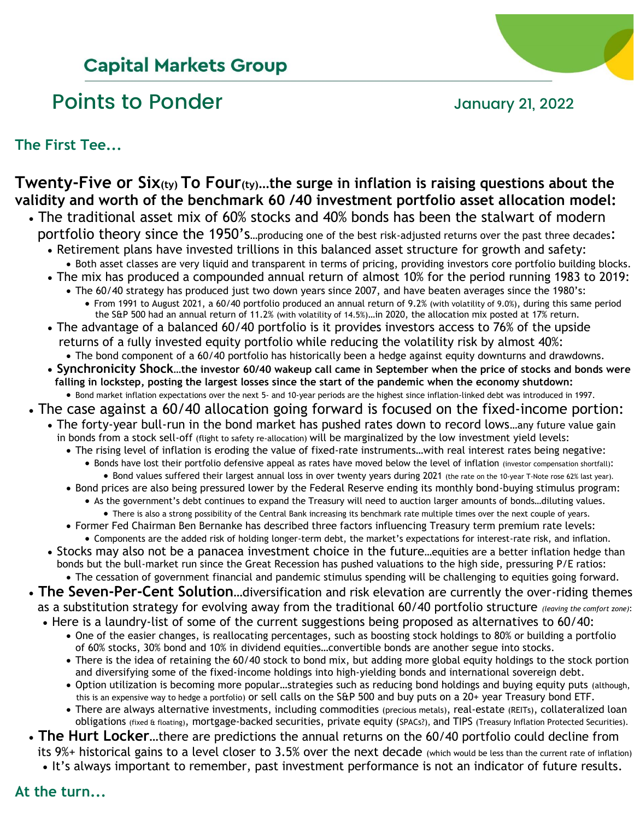## **Capital Markets Group**

# Points to Ponder and Tanuary 21, 2022



**The First Tee...**

### **Twenty-Five or Six(ty) To Four(ty)…the surge in inflation is raising questions about the validity and worth of the benchmark 60 /40 investment portfolio asset allocation model:** • The traditional asset mix of 60% stocks and 40% bonds has been the stalwart of modern

- portfolio theory since the 1950's...producing one of the best risk-adjusted returns over the past three decades: • Retirement plans have invested trillions in this balanced asset structure for growth and safety:
	- Both asset classes are very liquid and transparent in terms of pricing, providing investors core portfolio building blocks. • The mix has produced a compounded annual return of almost 10% for the period running 1983 to 2019:
	- The 60/40 strategy has produced just two down years since 2007, and have beaten averages since the 1980's:
		- From 1991 to August 2021, a 60/40 portfolio produced an annual return of 9.2% (with volatility of 9.0%), during this same period the S&P 500 had an annual return of 11.2% (with volatility of 14.5%)…in 2020, the allocation mix posted at 17% return.
	- The advantage of a balanced 60/40 portfolio is it provides investors access to 76% of the upside returns of a fully invested equity portfolio while reducing the volatility risk by almost 40%:
	- The bond component of a 60/40 portfolio has historically been a hedge against equity downturns and drawdowns. • **Synchronicity Shock…the investor 60/40 wakeup call came in September when the price of stocks and bonds were falling in lockstep, posting the largest losses since the start of the pandemic when the economy shutdown:**
- Bond market inflation expectations over the next 5- and 10-year periods are the highest since inflation-linked debt was introduced in 1997. • The case against a 60/40 allocation going forward is focused on the fixed-income portion:
	- The forty-year bull-run in the bond market has pushed rates down to record lows…any future value gain in bonds from a stock sell-off (flight to safety re-allocation) will be marginalized by the low investment yield levels:
		- The rising level of inflation is eroding the value of fixed-rate instruments…with real interest rates being negative:
			- Bonds have lost their portfolio defensive appeal as rates have moved below the level of inflation (investor compensation shortfall): • Bond values suffered their largest annual loss in over twenty years during 2021 (the rate on the 10-year T-Note rose 62% last year).
		- Bond prices are also being pressured lower by the Federal Reserve ending its monthly bond-buying stimulus program:
			- As the government's debt continues to expand the Treasury will need to auction larger amounts of bonds…diluting values.
		- There is also a strong possibility of the Central Bank increasing its benchmark rate multiple times over the next couple of years. • Former Fed Chairman Ben Bernanke has described three factors influencing Treasury term premium rate levels:
	- Components are the added risk of holding longer-term debt, the market's expectations for interest-rate risk, and inflation. • Stocks may also not be a panacea investment choice in the future…equities are a better inflation hedge than
	- bonds but the bull-market run since the Great Recession has pushed valuations to the high side, pressuring P/E ratios: • The cessation of government financial and pandemic stimulus spending will be challenging to equities going forward.
- **The Seven-Per-Cent Solution**…diversification and risk elevation are currently the over-riding themes
- as a substitution strategy for evolving away from the traditional 60/40 portfolio structure *(leaving the comfort zone)*:
	- Here is a laundry-list of some of the current suggestions being proposed as alternatives to 60/40:
		- One of the easier changes, is reallocating percentages, such as boosting stock holdings to 80% or building a portfolio of 60% stocks, 30% bond and 10% in dividend equities…convertible bonds are another segue into stocks.
		- There is the idea of retaining the 60/40 stock to bond mix, but adding more global equity holdings to the stock portion and diversifying some of the fixed-income holdings into high-yielding bonds and international sovereign debt.
		- Option utilization is becoming more popular…strategies such as reducing bond holdings and buying equity puts (although, this is an expensive way to hedge a portfolio) or sell calls on the S&P 500 and buy puts on a 20+ year Treasury bond ETF.
		- There are always alternative investments, including commodities (precious metals), real-estate (REITs), collateralized loan obligations (fixed & floating), mortgage-backed securities, private equity (SPACs?), and TIPS (Treasury Inflation Protected Securities).
- **The Hurt Locker**…there are predictions the annual returns on the 60/40 portfolio could decline from its 9%+ historical gains to a level closer to 3.5% over the next decade (which would be less than the current rate of inflation) • It's always important to remember, past investment performance is not an indicator of future results.